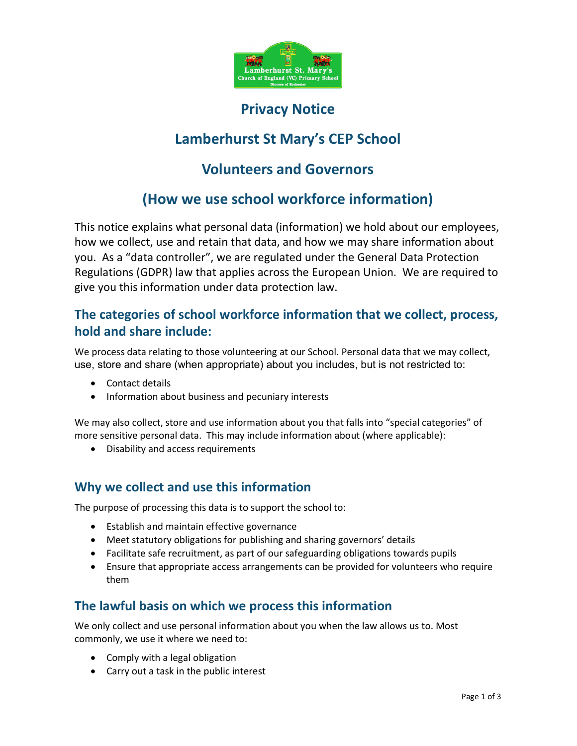

## Privacy Notice

# Lamberhurst St Mary's CEP School

## Volunteers and Governors

# (How we use school workforce information)

This notice explains what personal data (information) we hold about our employees, how we collect, use and retain that data, and how we may share information about you. As a "data controller", we are regulated under the General Data Protection Regulations (GDPR) law that applies across the European Union. We are required to give you this information under data protection law.

## The categories of school workforce information that we collect, process, hold and share include:

We process data relating to those volunteering at our School. Personal data that we may collect, use, store and share (when appropriate) about you includes, but is not restricted to:

- Contact details
- Information about business and pecuniary interests

We may also collect, store and use information about you that falls into "special categories" of more sensitive personal data. This may include information about (where applicable):

Disability and access requirements

## Why we collect and use this information

The purpose of processing this data is to support the school to:

- Establish and maintain effective governance
- Meet statutory obligations for publishing and sharing governors' details
- Facilitate safe recruitment, as part of our safeguarding obligations towards pupils
- Ensure that appropriate access arrangements can be provided for volunteers who require them

#### The lawful basis on which we process this information

We only collect and use personal information about you when the law allows us to. Most commonly, we use it where we need to:

- Comply with a legal obligation
- Carry out a task in the public interest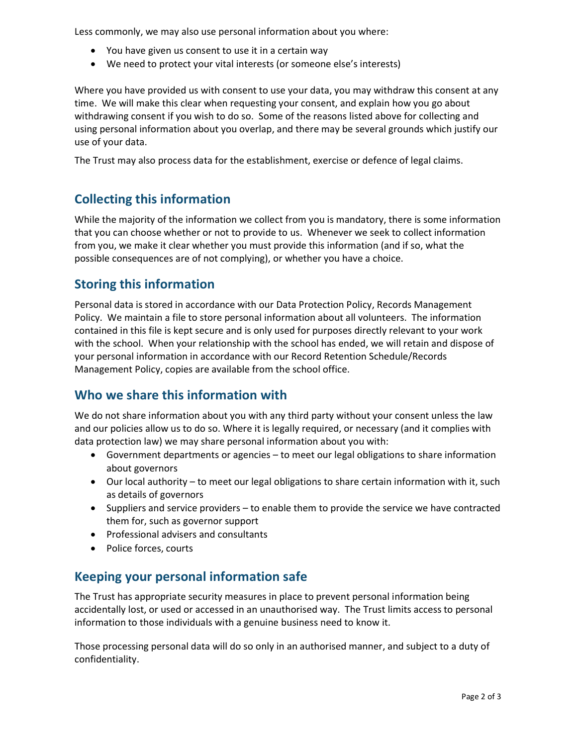Less commonly, we may also use personal information about you where:

- You have given us consent to use it in a certain way
- We need to protect your vital interests (or someone else's interests)

Where you have provided us with consent to use your data, you may withdraw this consent at any time. We will make this clear when requesting your consent, and explain how you go about withdrawing consent if you wish to do so. Some of the reasons listed above for collecting and using personal information about you overlap, and there may be several grounds which justify our use of your data.

The Trust may also process data for the establishment, exercise or defence of legal claims.

## Collecting this information

While the majority of the information we collect from you is mandatory, there is some information that you can choose whether or not to provide to us. Whenever we seek to collect information from you, we make it clear whether you must provide this information (and if so, what the possible consequences are of not complying), or whether you have a choice.

#### Storing this information

Personal data is stored in accordance with our Data Protection Policy, Records Management Policy. We maintain a file to store personal information about all volunteers. The information contained in this file is kept secure and is only used for purposes directly relevant to your work with the school. When your relationship with the school has ended, we will retain and dispose of your personal information in accordance with our Record Retention Schedule/Records Management Policy, copies are available from the school office.

## Who we share this information with

We do not share information about you with any third party without your consent unless the law and our policies allow us to do so. Where it is legally required, or necessary (and it complies with data protection law) we may share personal information about you with:

- Government departments or agencies to meet our legal obligations to share information about governors
- Our local authority to meet our legal obligations to share certain information with it, such as details of governors
- Suppliers and service providers to enable them to provide the service we have contracted them for, such as governor support
- Professional advisers and consultants
- Police forces, courts

## Keeping your personal information safe

The Trust has appropriate security measures in place to prevent personal information being accidentally lost, or used or accessed in an unauthorised way. The Trust limits access to personal information to those individuals with a genuine business need to know it.

Those processing personal data will do so only in an authorised manner, and subject to a duty of confidentiality.